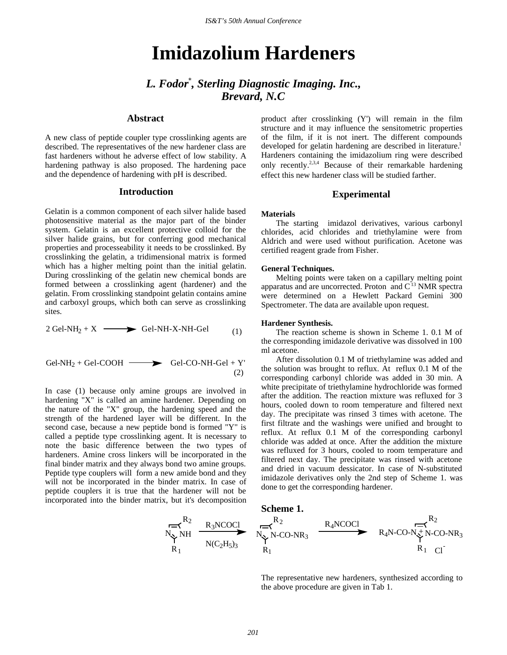*IS&T's 50th Annual Conference IS&T's 50th Annual Conference*

# **Imidazolium Hardeners**

*L. Fodor\* , Sterling Diagnostic Imaging. Inc., Brevard, N.C*

# **Abstract**

A new class of peptide coupler type crosslinking agents are described. The representatives of the new hardener class are fast hardeners without he adverse effect of low stability. A hardening pathway is also proposed. The hardening pace and the dependence of hardening with pH is described.

## **Introduction**

Gelatin is a common component of each silver halide based photosensitive material as the major part of the binder system. Gelatin is an excellent protective colloid for the silver halide grains, but for conferring good mechanical properties and processeability it needs to be crosslinked. By crosslinking the gelatin, a tridimensional matrix is formed which has a higher melting point than the initial gelatin. During crosslinking of the gelatin new chemical bonds are formed between a crosslinking agent (hardener) and the gelatin. From crosslinking standpoint gelatin contains amine and carboxyl groups, which both can serve as crosslinking sites.

$$
2 \text{ Gel-NH}_2 + X \longrightarrow \text{ Gel-NH-X-NH-Gel} \tag{1}
$$

$$
Gel-NH2 + Gel-COOH \longrightarrow Gel-CO-NH-Gel + Y'
$$
\n(2)

In case (1) because only amine groups are involved in hardening "X" is called an amine hardener. Depending on the nature of the "X" group, the hardening speed and the strength of the hardened layer will be different. In the second case, because a new peptide bond is formed "Y" is called a peptide type crosslinking agent. It is necessary to note the basic difference between the two types of hardeners. Amine cross linkers will be incorporated in the final binder matrix and they always bond two amine groups. Peptide type couplers will form a new amide bond and they will not be incorporated in the binder matrix. In case of peptide couplers it is true that the hardener will not be incorporated into the binder matrix, but it's decomposition

> $N_{\infty}$  NH  $R_1$

 $R_2$ 

product after crosslinking (Y') will remain in the film structure and it may influence the sensitometric properties of the film, if it is not inert. The different compounds developed for gelatin hardening are described in literature.<sup>1</sup> Hardeners containing the imidazolium ring were described only recently.2,3,4 Because of their remarkable hardening effect this new hardener class will be studied farther.

### **Experimental**

#### **Materials**

The starting imidazol derivatives, various carbonyl chlorides, acid chlorides and triethylamine were from Aldrich and were used without purification. Acetone was certified reagent grade from Fisher.

#### **General Techniques.**

Melting points were taken on a capillary melting point apparatus and are uncorrected. Proton and C<sup>13</sup> NMR spectra were determined on a Hewlett Packard Gemini 300 Spectrometer. The data are available upon request.

#### **Hardener Synthesis.**

The reaction scheme is shown in Scheme 1. 0.1 M of the corresponding imidazole derivative was dissolved in 100 ml acetone.

After dissolution 0.1 M of triethylamine was added and the solution was brought to reflux. At reflux 0.1 M of the corresponding carbonyl chloride was added in 30 min. A white precipitate of triethylamine hydrochloride was formed after the addition. The reaction mixture was refluxed for 3 hours, cooled down to room temperature and filtered next day. The precipitate was rinsed 3 times with acetone. The first filtrate and the washings were unified and brought to reflux. At reflux 0.1 M of the corresponding carbonyl chloride was added at once. After the addition the mixture was refluxed for 3 hours, cooled to room temperature and filtered next day. The precipitate was rinsed with acetone and dried in vacuum dessicator. In case of N-substituted imidazole derivatives only the 2nd step of Scheme 1. was done to get the corresponding hardener.

**Scheme 1.**



The representative new hardeners, synthesized according to the above procedure are given in Tab 1.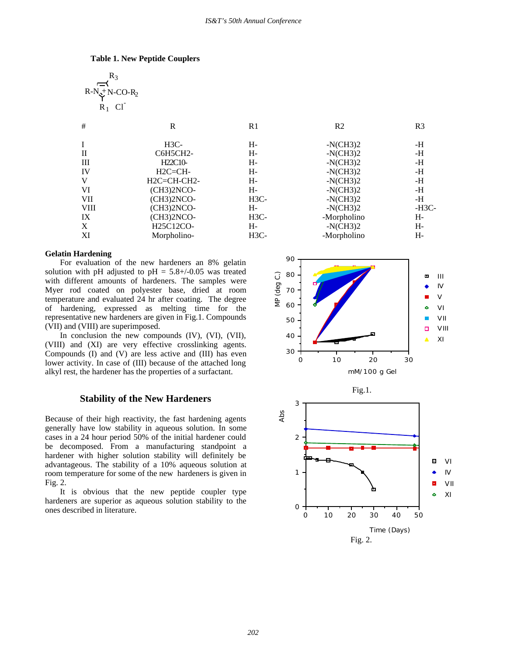#### **Table 1. New Peptide Couplers**

$$
\begin{array}{c}\n R_3 \\
\overrightarrow{R-N} + N-CO-R_2 \\
\overrightarrow{R_1} \ C1\n\end{array}
$$

| R             | R1     | R <sub>2</sub> | R <sub>3</sub> |
|---------------|--------|----------------|----------------|
| $H3C-$        | H-     | $-NCH32$       | -H             |
| C6H5CH2-      | H-     | $-N(CH3)2$     | -H             |
| H22C10-       | H-     | $-NCH32$       | -H             |
| $H2C=CH-$     | H-     | $-N(CH3)2$     | -H             |
| $H2C=CH-CH2-$ | H-     | $-N(CH3)2$     | -H             |
| $(CH3)2NCO-$  | H-     | $-N(CH3)2$     | -H             |
| $(CH3)2NCO-$  | $H3C-$ | $-N(CH3)2$     | -H             |
| $(CH3)2NCO-$  | H-     | $-N(CH3)2$     | -H3C-          |
| $(CH3)2NCO-$  | $H3C-$ | -Morpholino    | H-             |
| H25C12CO-     | H-     | $-N(CH3)2$     | H-             |
| Morpholino-   | $H3C-$ | -Morpholino    | H-             |
|               |        |                |                |

#### **Gelatin Hardening**

For evaluation of the new hardeners an 8% gelatin solution with pH adjusted to  $pH = 5.8 + (-0.05$  was treated with different amounts of hardeners. The samples were Myer rod coated on polyester base, dried at room temperature and evaluated 24 hr after coating. The degree of hardening, expressed as melting time for the representative new hardeners are given in Fig.1. Compounds (VII) and (VIII) are superimposed.

In conclusion the new compounds (IV), (VI), (VII), (VIII) and (XI) are very effective crosslinking agents. Compounds (I) and (V) are less active and (III) has even lower activity. In case of (III) because of the attached long alkyl rest, the hardener has the properties of a surfactant.

## **Stability of the New Hardeners**

Because of their high reactivity, the fast hardening agents generally have low stability in aqueous solution. In some cases in a 24 hour period 50% of the initial hardener could be decomposed. From a manufacturing standpoint a hardener with higher solution stability will definitely be advantageous. The stability of a 10% aqueous solution at room temperature for some of the new hardeners is given in Fig. 2.

It is obvious that the new peptide coupler type hardeners are superior as aqueous solution stability to the ones described in literature.

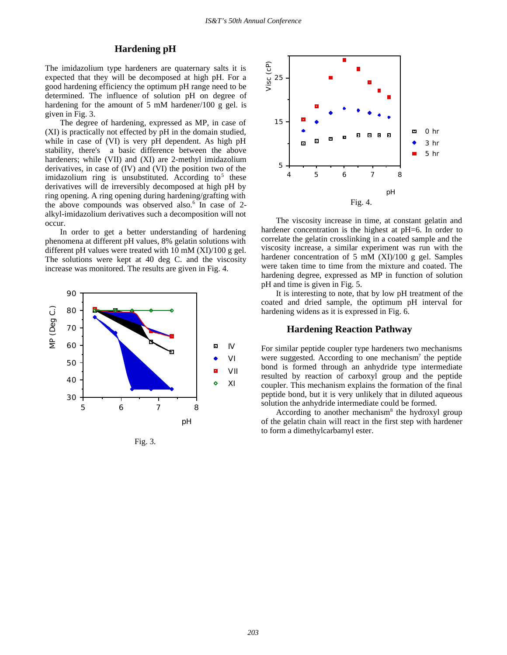# **Hardening pH**

The imidazolium type hardeners are quaternary salts it is expected that they will be decomposed at high pH. For a good hardening efficiency the optimum pH range need to be determined. The influence of solution pH on degree of hardening for the amount of 5 mM hardener/100 g gel. is given in Fig. 3.

The degree of hardening, expressed as MP, in case of (XI) is practically not effected by pH in the domain studied, while in case of (VI) is very pH dependent. As high pH stability, there's a basic difference between the above hardeners; while (VII) and (XI) are 2-methyl imidazolium derivatives, in case of (IV) and (VI) the position two of the imidazolium ring is unsubstituted. According to<sup>5</sup> these derivatives will de irreversibly decomposed at high pH by ring opening. A ring opening during hardening/grafting with the above compounds was observed also.<sup>6</sup> In case of 2alkyl-imidazolium derivatives such a decomposition will not occur.

In order to get a better understanding of hardening phenomena at different pH values, 8% gelatin solutions with different pH values were treated with 10 mM (XI)/100 g gel. The solutions were kept at 40 deg C. and the viscosity increase was monitored. The results are given in Fig. 4.



Fig. 3.



The viscosity increase in time, at constant gelatin and hardener concentration is the highest at pH=6. In order to correlate the gelatin crosslinking in a coated sample and the viscosity increase, a similar experiment was run with the hardener concentration of 5 mM (XI)/100 g gel. Samples were taken time to time from the mixture and coated. The hardening degree, expressed as MP in function of solution pH and time is given in Fig. 5.

It is interesting to note, that by low pH treatment of the coated and dried sample, the optimum pH interval for hardening widens as it is expressed in Fig. 6.

#### **Hardening Reaction Pathway**

For similar peptide coupler type hardeners two mechanisms were suggested. According to one mechanism<sup>7</sup> the peptide bond is formed through an anhydride type intermediate resulted by reaction of carboxyl group and the peptide coupler. This mechanism explains the formation of the final peptide bond, but it is very unlikely that in diluted aqueous solution the anhydride intermediate could be formed.

According to another mechanism<sup>8</sup> the hydroxyl group of the gelatin chain will react in the first step with hardener to form a dimethylcarbamyl ester.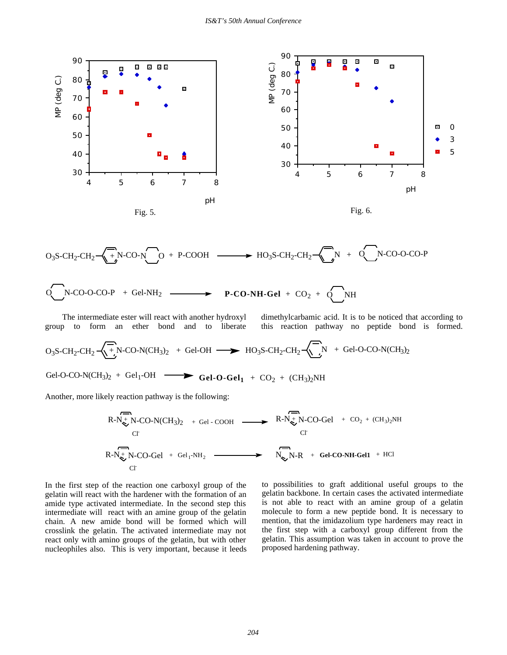

$$
O_3S\text{-CH}_2\text{-CH}_2\text{-}\underset{\longrightarrow}{\longrightarrow} N\text{-CO-N}\underset{\longrightarrow}{\longrightarrow} H_2S\text{-CH}_2\text{-CH}_2\text{-}\underset{\longrightarrow}{\longrightarrow} N + O_2N\text{-CO-O-CO-P}
$$

$$
O(N-CO-O-CO-P + Gel-NH2 \longrightarrow P-CO-NH-Gel + CO2 + O/NH
$$

 The intermediate ester will react with another hydroxyl group to form an ether bond and to liberate

dimethylcarbamic acid. It is to be noticed that according to this reaction pathway no peptide bond is formed.

$$
O_3S\text{-CH}_2\text{-CH}_2\text{-}\underset{\smile}{\bigwedge_{j=1}^{n}}\text{-}\underset{N\text{-}CO-N(CH_3)_2}{\bigwedge_{j=1}^{n}} + \text{ Gel-OH} \longrightarrow \text{HO}_3S\text{-CH}_2\text{-}\underset{N}{\bigwedge_{j=1}^{n}}\text{N} + \text{ Gel-O-CO-N(CH_3)_2}
$$

Gel-O-CO-N(CH<sub>3</sub>)<sub>2</sub> + Gel<sub>1</sub>-OH **Gel-O-Gel**<sub>1</sub> + CO<sub>2</sub> + (CH<sub>3</sub>)<sub>2</sub>NH

Another, more likely reaction pathway is the following:

$$
R-N_{\nabla}^{+}N\text{-CO-N}(\text{CH}_{3})_{2} + \text{GeI} \cdot \text{COOH} \longrightarrow R-N_{\nabla}^{+}N\text{-CO-Gel} + \text{CO}_{2} + (\text{CH}_{3})_{2}NH
$$
\n
$$
\text{C1}
$$
\n
$$
R-N_{\nabla}^{+}N\text{-CO-Gel} + \text{GeI}_{1}\text{-NH}_{2} \longrightarrow R-N_{\nabla}^{+}N\text{-CO-Gel} + \text{CO}_{2} + (\text{CH}_{3})_{2}NH
$$
\n
$$
\text{C1}
$$

In the first step of the reaction one carboxyl group of the gelatin will react with the hardener with the formation of an amide type activated intermediate. In the second step this intermediate will react with an amine group of the gelatin chain. A new amide bond will be formed which will crosslink the gelatin. The activated intermediate may not react only with amino groups of the gelatin, but with other nucleophiles also. This is very important, because it leeds to possibilities to graft additional useful groups to the gelatin backbone. In certain cases the activated intermediate is not able to react with an amine group of a gelatin molecule to form a new peptide bond. It is necessary to mention, that the imidazolium type hardeners may react in the first step with a carboxyl group different from the gelatin. This assumption was taken in account to prove the proposed hardening pathway.